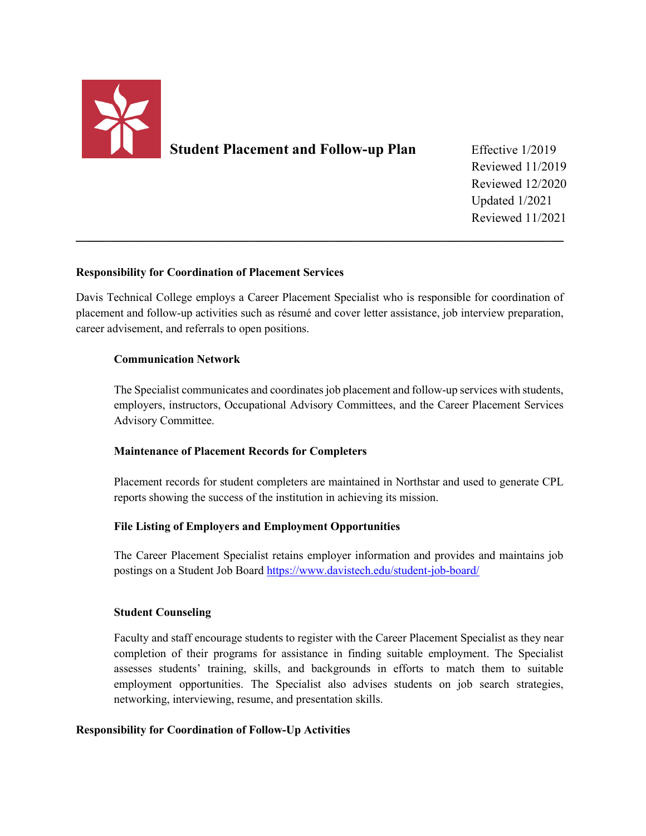

**Student Placement and Follow-up Plan** Effective 1/2019

 Reviewed 11/2019 Reviewed 12/2020 Updated 1/2021 Reviewed 11/2021

## **Responsibility for Coordination of Placement Services**

Davis Technical College employs a Career Placement Specialist who is responsible for coordination of placement and follow-up activities such as résumé and cover letter assistance, job interview preparation, career advisement, and referrals to open positions.

**\_\_\_\_\_\_\_\_\_\_\_\_\_\_\_\_\_\_\_\_\_\_\_\_\_\_\_\_\_\_\_\_\_\_\_\_\_\_\_\_\_\_\_\_\_\_\_\_\_\_\_\_\_\_\_\_\_\_\_\_\_\_\_\_\_\_**

### **Communication Network**

The Specialist communicates and coordinates job placement and follow-up services with students, employers, instructors, Occupational Advisory Committees, and the Career Placement Services Advisory Committee.

### **Maintenance of Placement Records for Completers**

Placement records for student completers are maintained in Northstar and used to generate CPL reports showing the success of the institution in achieving its mission.

# **File Listing of Employers and Employment Opportunities**

The Career Placement Specialist retains employer information and provides and maintains job postings on a Student Job Board<https://www.davistech.edu/student-job-board/>

### **Student Counseling**

Faculty and staff encourage students to register with the Career Placement Specialist as they near completion of their programs for assistance in finding suitable employment. The Specialist assesses students' training, skills, and backgrounds in efforts to match them to suitable employment opportunities. The Specialist also advises students on job search strategies, networking, interviewing, resume, and presentation skills.

### **Responsibility for Coordination of Follow-Up Activities**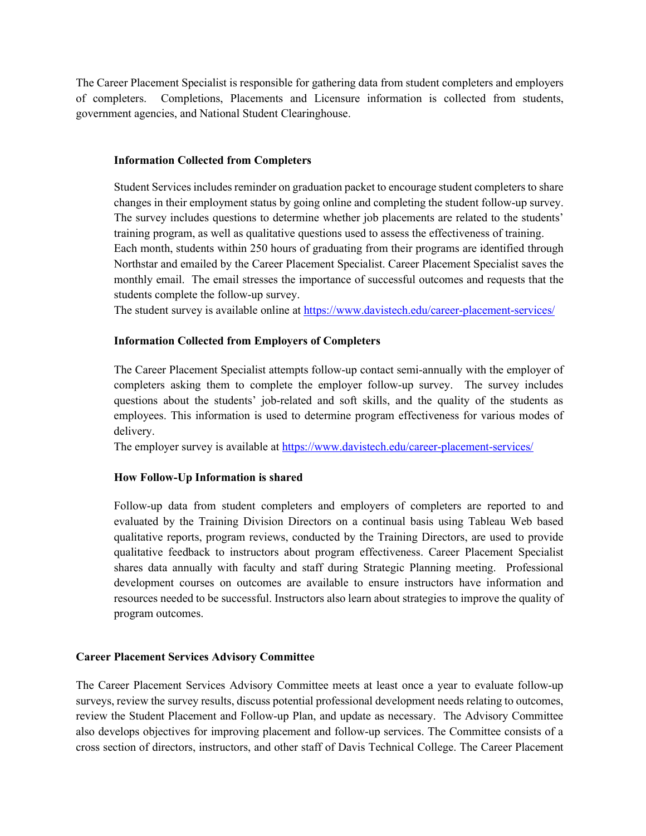The Career Placement Specialist is responsible for gathering data from student completers and employers of completers. Completions, Placements and Licensure information is collected from students, government agencies, and National Student Clearinghouse.

### **Information Collected from Completers**

Student Services includes reminder on graduation packet to encourage student completers to share changes in their employment status by going online and completing the student follow-up survey. The survey includes questions to determine whether job placements are related to the students' training program, as well as qualitative questions used to assess the effectiveness of training. Each month, students within 250 hours of graduating from their programs are identified through Northstar and emailed by the Career Placement Specialist. Career Placement Specialist saves the monthly email. The email stresses the importance of successful outcomes and requests that the students complete the follow-up survey.

The student survey is available online at<https://www.davistech.edu/career-placement-services/>

## **Information Collected from Employers of Completers**

The Career Placement Specialist attempts follow-up contact semi-annually with the employer of completers asking them to complete the employer follow-up survey. The survey includes questions about the students' job-related and soft skills, and the quality of the students as employees. This information is used to determine program effectiveness for various modes of delivery.

The employer survey is available at<https://www.davistech.edu/career-placement-services/>

### **How Follow-Up Information is shared**

Follow-up data from student completers and employers of completers are reported to and evaluated by the Training Division Directors on a continual basis using Tableau Web based qualitative reports, program reviews, conducted by the Training Directors, are used to provide qualitative feedback to instructors about program effectiveness. Career Placement Specialist shares data annually with faculty and staff during Strategic Planning meeting. Professional development courses on outcomes are available to ensure instructors have information and resources needed to be successful. Instructors also learn about strategies to improve the quality of program outcomes.

### **Career Placement Services Advisory Committee**

The Career Placement Services Advisory Committee meets at least once a year to evaluate follow-up surveys, review the survey results, discuss potential professional development needs relating to outcomes, review the Student Placement and Follow-up Plan, and update as necessary. The Advisory Committee also develops objectives for improving placement and follow-up services. The Committee consists of a cross section of directors, instructors, and other staff of Davis Technical College. The Career Placement